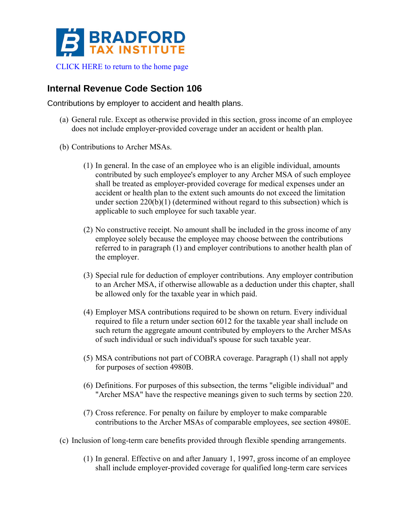

## **Internal Revenue Code Section 106**

Contributions by employer to accident and health plans.

- (a) General rule. Except as otherwise provided in this section, gross income of an employee does not include employer-provided coverage under an accident or health plan.
- (b) Contributions to Archer MSAs.
	- (1) In general. In the case of an employee who is an eligible individual, amounts contributed by such employee's employer to any Archer MSA of such employee shall be treated as employer-provided coverage for medical expenses under an accident or health plan to the extent such amounts do not exceed the limitation under section 220(b)(1) (determined without regard to this subsection) which is applicable to such employee for such taxable year.
	- (2) No constructive receipt. No amount shall be included in the gross income of any employee solely because the employee may choose between the contributions referred to in paragraph (1) and employer contributions to another health plan of the employer.
	- (3) Special rule for deduction of employer contributions. Any employer contribution to an Archer MSA, if otherwise allowable as a deduction under this chapter, shall be allowed only for the taxable year in which paid.
	- (4) Employer MSA contributions required to be shown on return. Every individual required to file a return under section 6012 for the taxable year shall include on such return the aggregate amount contributed by employers to the Archer MSAs of such individual or such individual's spouse for such taxable year.
	- (5) MSA contributions not part of COBRA coverage. Paragraph (1) shall not apply for purposes of section 4980B.
	- (6) Definitions. For purposes of this subsection, the terms "eligible individual" and "Archer MSA" have the respective meanings given to such terms by section 220.
	- (7) Cross reference. For penalty on failure by employer to make comparable contributions to the Archer MSAs of comparable employees, see section 4980E.
- (c) Inclusion of long-term care benefits provided through flexible spending arrangements.
	- (1) In general. Effective on and after January 1, 1997, gross income of an employee shall include employer-provided coverage for qualified long-term care services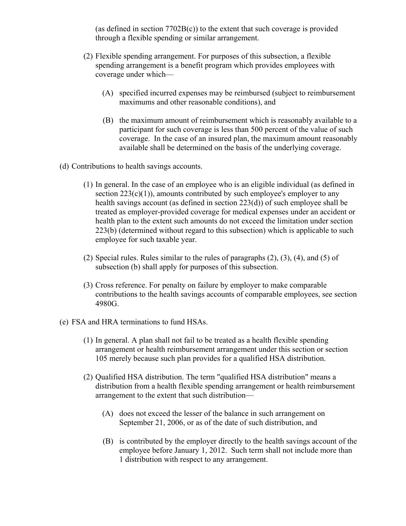(as defined in section 7702B(c)) to the extent that such coverage is provided through a flexible spending or similar arrangement.

- (2) Flexible spending arrangement. For purposes of this subsection, a flexible spending arrangement is a benefit program which provides employees with coverage under which—
	- (A) specified incurred expenses may be reimbursed (subject to reimbursement maximums and other reasonable conditions), and
	- (B) the maximum amount of reimbursement which is reasonably available to a participant for such coverage is less than 500 percent of the value of such coverage. In the case of an insured plan, the maximum amount reasonably available shall be determined on the basis of the underlying coverage.
- (d) Contributions to health savings accounts.
	- (1) In general. In the case of an employee who is an eligible individual (as defined in section  $223(c)(1)$ , amounts contributed by such employee's employer to any health savings account (as defined in section 223(d)) of such employee shall be treated as employer-provided coverage for medical expenses under an accident or health plan to the extent such amounts do not exceed the limitation under section 223(b) (determined without regard to this subsection) which is applicable to such employee for such taxable year.
	- (2) Special rules. Rules similar to the rules of paragraphs (2), (3), (4), and (5) of subsection (b) shall apply for purposes of this subsection.
	- (3) Cross reference. For penalty on failure by employer to make comparable contributions to the health savings accounts of comparable employees, see section 4980G.
- (e) FSA and HRA terminations to fund HSAs.
	- (1) In general. A plan shall not fail to be treated as a health flexible spending arrangement or health reimbursement arrangement under this section or section 105 merely because such plan provides for a qualified HSA distribution.
	- (2) Qualified HSA distribution. The term "qualified HSA distribution" means a distribution from a health flexible spending arrangement or health reimbursement arrangement to the extent that such distribution—
		- (A) does not exceed the lesser of the balance in such arrangement on September 21, 2006, or as of the date of such distribution, and
		- (B) is contributed by the employer directly to the health savings account of the employee before January 1, 2012. Such term shall not include more than 1 distribution with respect to any arrangement.